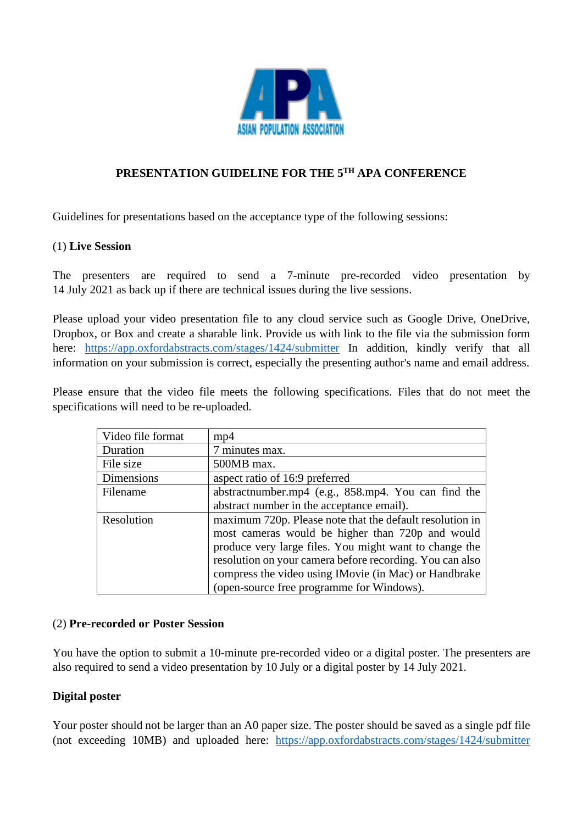

# **PRESENTATION GUIDELINE FOR THE 5TH APA CONFERENCE**

Guidelines for presentations based on the acceptance type of the following sessions:

#### (1) **Live Session**

The presenters are required to send a 7-minute pre-recorded video presentation by 14 July 2021 as back up if there are technical issues during the live sessions.

Please upload your video presentation file to any cloud service such as Google Drive, OneDrive, Dropbox, or Box and create a sharable link. Provide us with link to the file via the submission form here: <https://app.oxfordabstracts.com/stages/1424/submitter> In addition, kindly verify that all information on your submission is correct, especially the presenting author's name and email address.

Please ensure that the video file meets the following specifications. Files that do not meet the specifications will need to be re-uploaded.

| Video file format | mp4                                                      |
|-------------------|----------------------------------------------------------|
| Duration          | 7 minutes max.                                           |
| File size         | 500MB max.                                               |
| Dimensions        | aspect ratio of 16:9 preferred                           |
| Filename          | abstractnumber.mp4 (e.g., 858.mp4. You can find the      |
|                   | abstract number in the acceptance email).                |
| Resolution        | maximum 720p. Please note that the default resolution in |
|                   | most cameras would be higher than 720p and would         |
|                   | produce very large files. You might want to change the   |
|                   | resolution on your camera before recording. You can also |
|                   | compress the video using IMovie (in Mac) or Handbrake    |
|                   | (open-source free programme for Windows).                |

### (2) **Pre-recorded or Poster Session**

You have the option to submit a 10-minute pre-recorded video or a digital poster. The presenters are also required to send a video presentation by 10 July or a digital poster by 14 July 2021.

### **Digital poster**

Your poster should not be larger than an A0 paper size. The poster should be saved as a single pdf file (not exceeding 10MB) and uploaded here: <https://app.oxfordabstracts.com/stages/1424/submitter>